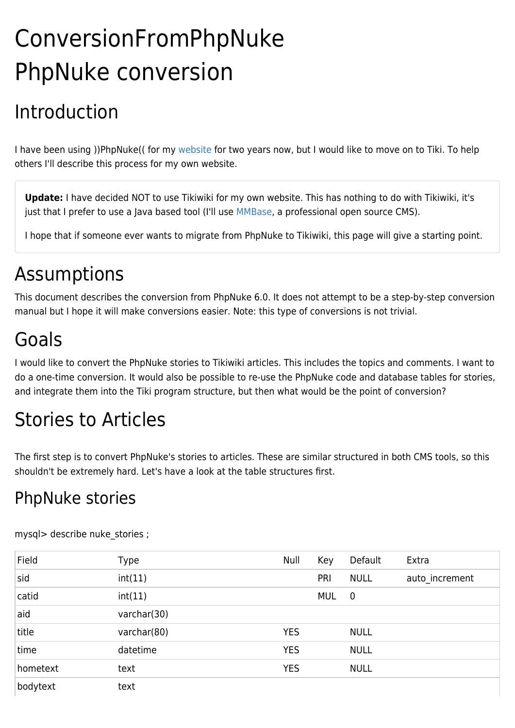# ConversionFromPhpNuke PhpNuke conversion

# Introduction

I have been using ))PhpNuke(( for my [website](http://www.guusbosman.nl) for two years now, but I would like to move on to Tiki. To help others I'll describe this process for my own website.

**Update:** I have decided NOT to use Tikiwiki for my own website. This has nothing to do with Tikiwiki, it's just that I prefer to use a Java based tool (I'll use [MMBase](http://www.mmbase.org), a professional open source CMS).

I hope that if someone ever wants to migrate from PhpNuke to Tikiwiki, this page will give a starting point.

## Assumptions

This document describes the conversion from PhpNuke 6.0. It does not attempt to be a step-by-step conversion manual but I hope it will make conversions easier. Note: this type of conversions is not trivial.

# Goals

I would like to convert the PhpNuke stories to Tikiwiki articles. This includes the topics and comments. I want to do a one-time conversion. It would also be possible to re-use the PhpNuke code and database tables for stories, and integrate them into the Tiki program structure, but then what would be the point of conversion?

## Stories to Articles

The first step is to convert PhpNuke's stories to articles. These are similar structured in both CMS tools, so this shouldn't be extremely hard. Let's have a look at the table structures first.

#### PhpNuke stories

| Field    | <b>Type</b> | Null       | Key        | Default     | Extra          |
|----------|-------------|------------|------------|-------------|----------------|
| sid      | int(11)     |            | PRI        | <b>NULL</b> | auto increment |
| catid    | int(11)     |            | <b>MUL</b> | $\mathbf 0$ |                |
| aid      | varchar(30) |            |            |             |                |
| title    | varchar(80) | <b>YES</b> |            | <b>NULL</b> |                |
| time     | datetime    | <b>YES</b> |            | <b>NULL</b> |                |
| hometext | text        | <b>YES</b> |            | <b>NULL</b> |                |
| bodytext | text        |            |            |             |                |

mysql> describe nuke stories ;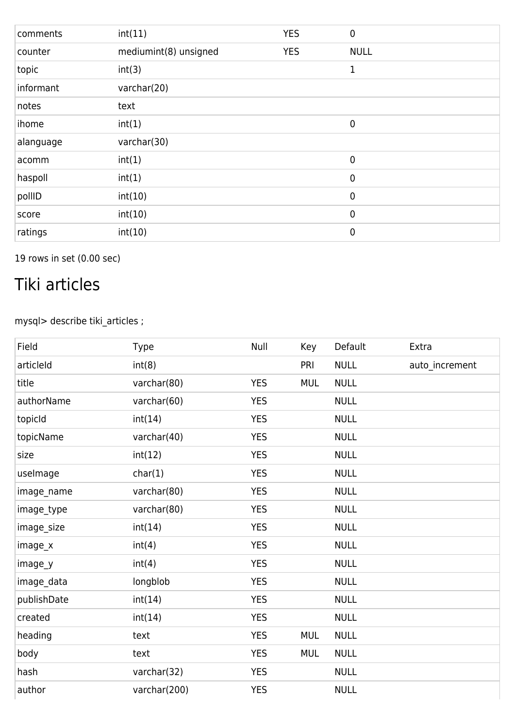| comments  | int(11)               | <b>YES</b> | $\mathbf 0$ |
|-----------|-----------------------|------------|-------------|
| counter   | mediumint(8) unsigned | <b>YES</b> | <b>NULL</b> |
| topic     | int(3)                |            | 1           |
| informant | varchar(20)           |            |             |
| notes     | text                  |            |             |
| ihome     | int(1)                |            | $\mathbf 0$ |
| alanguage | varchar(30)           |            |             |
| acomm     | int(1)                |            | $\mathbf 0$ |
| haspoll   | int(1)                |            | $\mathbf 0$ |
| pollID    | int(10)               |            | $\mathbf 0$ |
| score     | int(10)               |            | $\pmb{0}$   |
| ratings   | int(10)               |            | $\mathbf 0$ |

19 rows in set (0.00 sec)

### Tiki articles

mysql> describe tiki\_articles ;

| Field       | Type         | Null       | Key        | Default     | Extra          |
|-------------|--------------|------------|------------|-------------|----------------|
| articleId   | int(8)       |            | PRI        | <b>NULL</b> | auto_increment |
| title       | varchar(80)  | <b>YES</b> | <b>MUL</b> | <b>NULL</b> |                |
| authorName  | varchar(60)  | <b>YES</b> |            | <b>NULL</b> |                |
| topicId     | int(14)      | <b>YES</b> |            | <b>NULL</b> |                |
| topicName   | varchar(40)  | <b>YES</b> |            | <b>NULL</b> |                |
| size        | int(12)      | <b>YES</b> |            | <b>NULL</b> |                |
| uselmage    | char(1)      | <b>YES</b> |            | <b>NULL</b> |                |
| image_name  | varchar(80)  | <b>YES</b> |            | <b>NULL</b> |                |
| image_type  | varchar(80)  | <b>YES</b> |            | <b>NULL</b> |                |
| image_size  | int(14)      | <b>YES</b> |            | <b>NULL</b> |                |
| image_x     | int(4)       | <b>YES</b> |            | <b>NULL</b> |                |
| image_y     | int(4)       | <b>YES</b> |            | <b>NULL</b> |                |
| image_data  | longblob     | <b>YES</b> |            | <b>NULL</b> |                |
| publishDate | int(14)      | <b>YES</b> |            | <b>NULL</b> |                |
| created     | int(14)      | <b>YES</b> |            | <b>NULL</b> |                |
| heading     | text         | <b>YES</b> | <b>MUL</b> | <b>NULL</b> |                |
| body        | text         | <b>YES</b> | MUL        | <b>NULL</b> |                |
| hash        | varchar(32)  | <b>YES</b> |            | <b>NULL</b> |                |
| author      | varchar(200) | <b>YES</b> |            | <b>NULL</b> |                |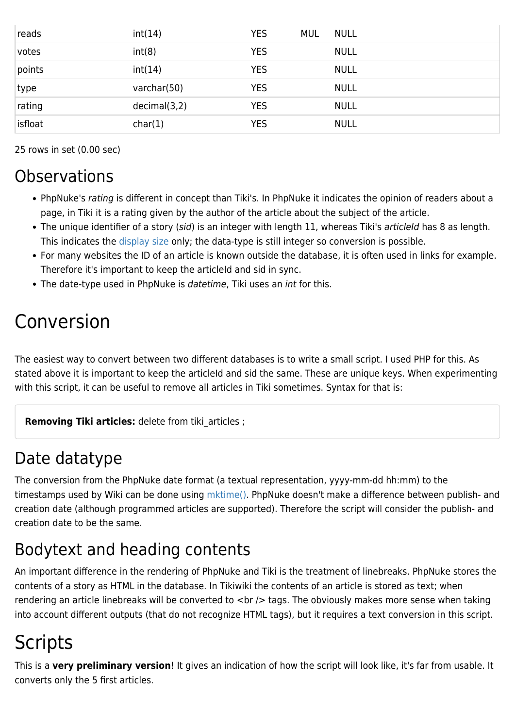| reads   | int(14)      | <b>YES</b> | <b>MUL</b> | <b>NULL</b> |
|---------|--------------|------------|------------|-------------|
| votes   | int(8)       | <b>YES</b> |            | <b>NULL</b> |
| points  | int(14)      | <b>YES</b> |            | <b>NULL</b> |
| type    | varchar(50)  | <b>YES</b> |            | <b>NULL</b> |
| rating  | decimal(3,2) | <b>YES</b> |            | <b>NULL</b> |
| isfloat | char(1)      | <b>YES</b> |            | <b>NULL</b> |

25 rows in set (0.00 sec)

#### **Observations**

- PhpNuke's rating is different in concept than Tiki's. In PhpNuke it indicates the opinion of readers about a page, in Tiki it is a rating given by the author of the article about the subject of the article.
- The unique identifier of a story (sid) is an integer with length 11, whereas Tiki's articleld has 8 as length. This indicates the [display size](http://www.mysql.com/doc/en/Column_types.html) only; the data-type is still integer so conversion is possible.
- For many websites the ID of an article is known outside the database, it is often used in links for example. Therefore it's important to keep the articleId and sid in sync.
- The date-type used in PhpNuke is *datetime*, Tiki uses an *int* for this.

## Conversion

The easiest way to convert between two different databases is to write a small script. I used PHP for this. As stated above it is important to keep the articleId and sid the same. These are unique keys. When experimenting with this script, it can be useful to remove all articles in Tiki sometimes. Syntax for that is:

**Removing Tiki articles:** delete from tiki articles ;

#### Date datatype

The conversion from the PhpNuke date format (a textual representation, yyyy-mm-dd hh:mm) to the timestamps used by Wiki can be done using [mktime\(\).](http://www.php.net/mktime) PhpNuke doesn't make a difference between publish- and creation date (although programmed articles are supported). Therefore the script will consider the publish- and creation date to be the same.

## Bodytext and heading contents

An important difference in the rendering of PhpNuke and Tiki is the treatment of linebreaks. PhpNuke stores the contents of a story as HTML in the database. In Tikiwiki the contents of an article is stored as text; when rendering an article linebreaks will be converted to <br />> tags. The obviously makes more sense when taking into account different outputs (that do not recognize HTML tags), but it requires a text conversion in this script.

## **Scripts**

This is a **very preliminary version**! It gives an indication of how the script will look like, it's far from usable. It converts only the 5 first articles.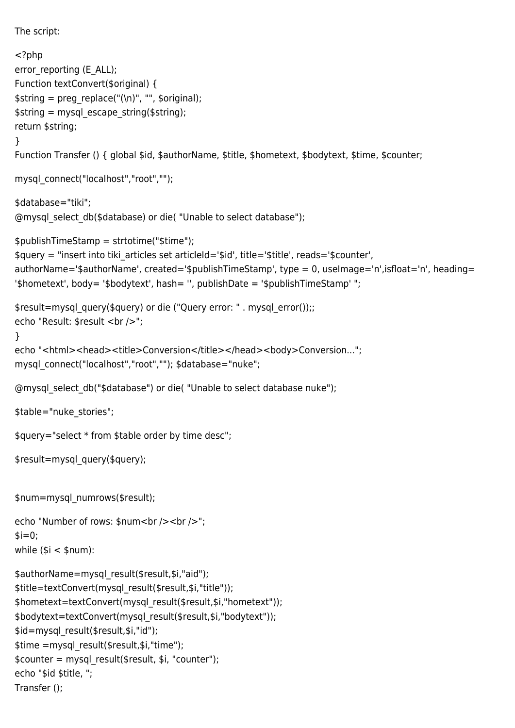```
The script:
<?php
error_reporting (E_ALL);
Function textConvert($original) {
$string = preg_replace("(\n)", "", $original);
\frac{1}{2} string = mysql escape string($string);
return $string;
}
Function Transfer () { global $id, $authorName, $title, $hometext, $bodytext, $time, $counter;
mysql_connect("localhost","root","");
$database="tiki";
@mysql_select_db($database) or die( "Unable to select database");
$publishTimeStamp = strtotime("$time");
$query = "insert into tiki_articles set articleId='$id', title='$title', reads='$counter',
authorName='$authorName', created='$publishTimeStamp', type = 0, useImage='n',isfloat='n', heading=
'$hometext', body= '$bodytext', hash= ", publishDate = '$publishTimeStamp' ";
$result=mysql_query($query) or die ("Query error: " . mysql_error());;
echo "Result: $result <br />";
}
echo "<html><head><title>Conversion</title></head><body>Conversion...";
mysql_connect("localhost","root",""); $database="nuke";
@mysql_select_db("$database") or die( "Unable to select database nuke");
$table="nuke stories";
$query="select * from $table order by time desc";
$result=mysql_query($query);
$num=mysql_numrows($result);
echo "Number of rows: $num<br />>/> /> <br />>";
$i=0:
while ($i < $num):
$authorName=mysql_result($result,$i,"aid");
$title=textConvert(mysql_result($result,$i,"title"));
$hometext=textConvert(mysql_result($result,$i,"hometext"));
$bodytext=textConvert(mysql_result($result,$i,"bodytext"));
$id=mysql_result($result,$i,"id");
$time =mysql_result($result,$i,"time");
$counter = mysql_result($result, $i, "counter");
echo "$id $title, ";
Transfer ();
```